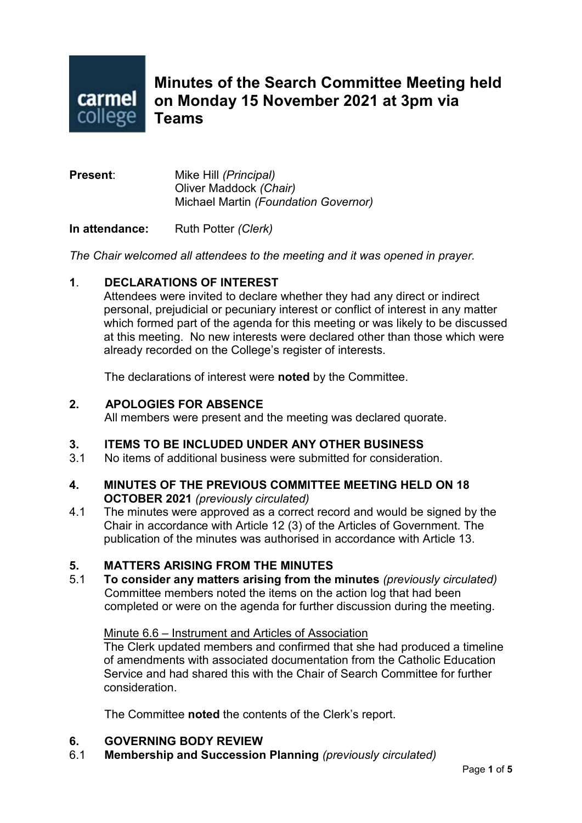

**Minutes of the Search Committee Meeting held on Monday 15 November 2021 at 3pm via Teams**

**Present**: Mike Hill *(Principal)* Oliver Maddock *(Chair)* Michael Martin *(Foundation Governor)*

**In attendance:** Ruth Potter *(Clerk)*

*The Chair welcomed all attendees to the meeting and it was opened in prayer.*

#### **1**. **DECLARATIONS OF INTEREST**

Attendees were invited to declare whether they had any direct or indirect personal, prejudicial or pecuniary interest or conflict of interest in any matter which formed part of the agenda for this meeting or was likely to be discussed at this meeting. No new interests were declared other than those which were already recorded on the College's register of interests.

The declarations of interest were **noted** by the Committee.

#### **2. APOLOGIES FOR ABSENCE**

All members were present and the meeting was declared quorate.

#### **3. ITEMS TO BE INCLUDED UNDER ANY OTHER BUSINESS**

3.1 No items of additional business were submitted for consideration.

#### **4. MINUTES OF THE PREVIOUS COMMITTEE MEETING HELD ON 18 OCTOBER 2021** *(previously circulated)*

4.1 The minutes were approved as a correct record and would be signed by the Chair in accordance with Article 12 (3) of the Articles of Government. The publication of the minutes was authorised in accordance with Article 13.

#### **5. MATTERS ARISING FROM THE MINUTES**

5.1 **To consider any matters arising from the minutes** *(previously circulated)* Committee members noted the items on the action log that had been completed or were on the agenda for further discussion during the meeting.

#### Minute 6.6 – Instrument and Articles of Association

The Clerk updated members and confirmed that she had produced a timeline of amendments with associated documentation from the Catholic Education Service and had shared this with the Chair of Search Committee for further consideration.

The Committee **noted** the contents of the Clerk's report.

# **6. GOVERNING BODY REVIEW**

6.1 **Membership and Succession Planning** *(previously circulated)*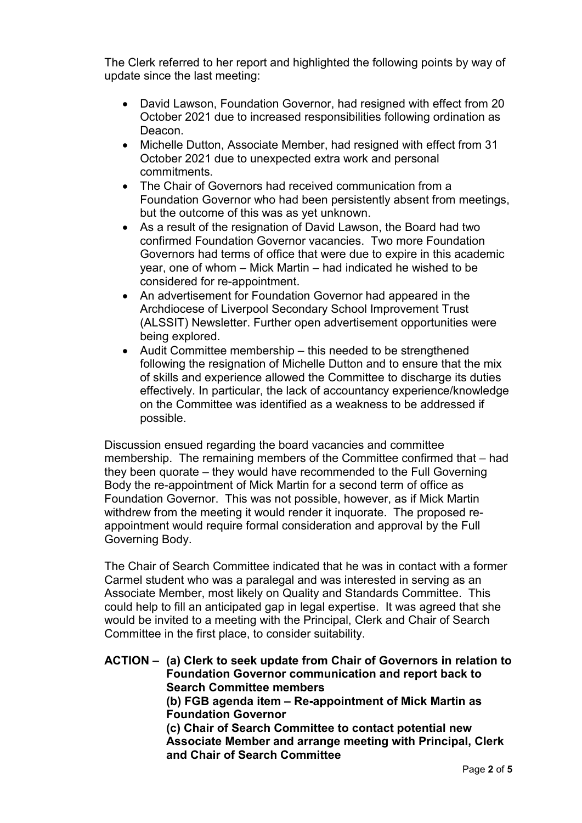The Clerk referred to her report and highlighted the following points by way of update since the last meeting:

- David Lawson, Foundation Governor, had resigned with effect from 20 October 2021 due to increased responsibilities following ordination as Deacon.
- Michelle Dutton, Associate Member, had resigned with effect from 31 October 2021 due to unexpected extra work and personal commitments.
- The Chair of Governors had received communication from a Foundation Governor who had been persistently absent from meetings, but the outcome of this was as yet unknown.
- As a result of the resignation of David Lawson, the Board had two confirmed Foundation Governor vacancies. Two more Foundation Governors had terms of office that were due to expire in this academic year, one of whom – Mick Martin – had indicated he wished to be considered for re-appointment.
- An advertisement for Foundation Governor had appeared in the Archdiocese of Liverpool Secondary School Improvement Trust (ALSSIT) Newsletter. Further open advertisement opportunities were being explored.
- Audit Committee membership this needed to be strengthened following the resignation of Michelle Dutton and to ensure that the mix of skills and experience allowed the Committee to discharge its duties effectively. In particular, the lack of accountancy experience/knowledge on the Committee was identified as a weakness to be addressed if possible.

Discussion ensued regarding the board vacancies and committee membership. The remaining members of the Committee confirmed that – had they been quorate – they would have recommended to the Full Governing Body the re-appointment of Mick Martin for a second term of office as Foundation Governor. This was not possible, however, as if Mick Martin withdrew from the meeting it would render it inquorate. The proposed reappointment would require formal consideration and approval by the Full Governing Body.

The Chair of Search Committee indicated that he was in contact with a former Carmel student who was a paralegal and was interested in serving as an Associate Member, most likely on Quality and Standards Committee. This could help to fill an anticipated gap in legal expertise. It was agreed that she would be invited to a meeting with the Principal, Clerk and Chair of Search Committee in the first place, to consider suitability.

**ACTION – (a) Clerk to seek update from Chair of Governors in relation to Foundation Governor communication and report back to Search Committee members (b) FGB agenda item – Re-appointment of Mick Martin as Foundation Governor (c) Chair of Search Committee to contact potential new Associate Member and arrange meeting with Principal, Clerk and Chair of Search Committee**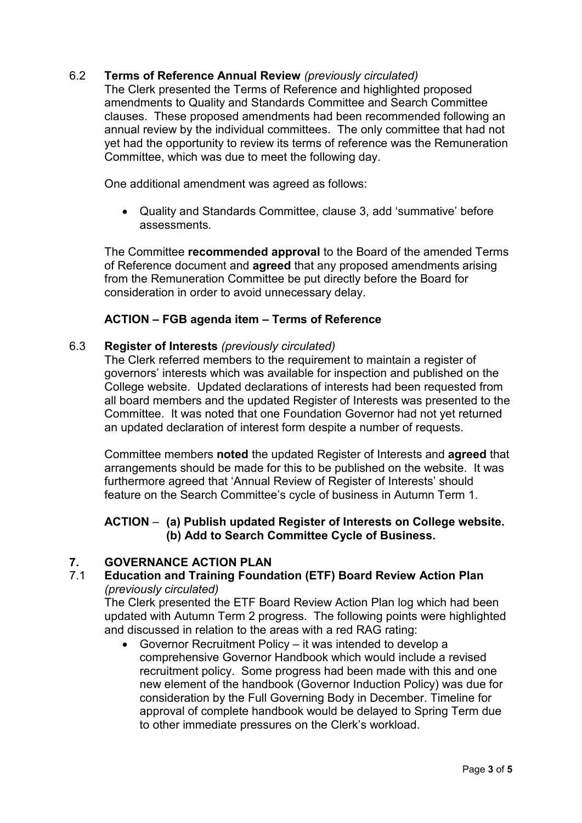### 6.2 **Terms of Reference Annual Review** *(previously circulated)*

The Clerk presented the Terms of Reference and highlighted proposed amendments to Quality and Standards Committee and Search Committee clauses. These proposed amendments had been recommended following an annual review by the individual committees. The only committee that had not yet had the opportunity to review its terms of reference was the Remuneration Committee, which was due to meet the following day.

One additional amendment was agreed as follows:

• Quality and Standards Committee, clause 3, add 'summative' before assessments.

The Committee **recommended approval** to the Board of the amended Terms of Reference document and **agreed** that any proposed amendments arising from the Remuneration Committee be put directly before the Board for consideration in order to avoid unnecessary delay.

### **ACTION – FGB agenda item – Terms of Reference**

#### 6.3 **Register of Interests** *(previously circulated)*

The Clerk referred members to the requirement to maintain a register of governors' interests which was available for inspection and published on the College website. Updated declarations of interests had been requested from all board members and the updated Register of Interests was presented to the Committee. It was noted that one Foundation Governor had not yet returned an updated declaration of interest form despite a number of requests.

Committee members **noted** the updated Register of Interests and **agreed** that arrangements should be made for this to be published on the website. It was furthermore agreed that 'Annual Review of Register of Interests' should feature on the Search Committee's cycle of business in Autumn Term 1.

#### **ACTION** – **(a) Publish updated Register of Interests on College website. (b) Add to Search Committee Cycle of Business.**

# **7. GOVERNANCE ACTION PLAN**

# 7.1 **Education and Training Foundation (ETF) Board Review Action Plan** *(previously circulated)*

The Clerk presented the ETF Board Review Action Plan log which had been updated with Autumn Term 2 progress. The following points were highlighted and discussed in relation to the areas with a red RAG rating:

• Governor Recruitment Policy – it was intended to develop a comprehensive Governor Handbook which would include a revised recruitment policy. Some progress had been made with this and one new element of the handbook (Governor Induction Policy) was due for consideration by the Full Governing Body in December. Timeline for approval of complete handbook would be delayed to Spring Term due to other immediate pressures on the Clerk's workload.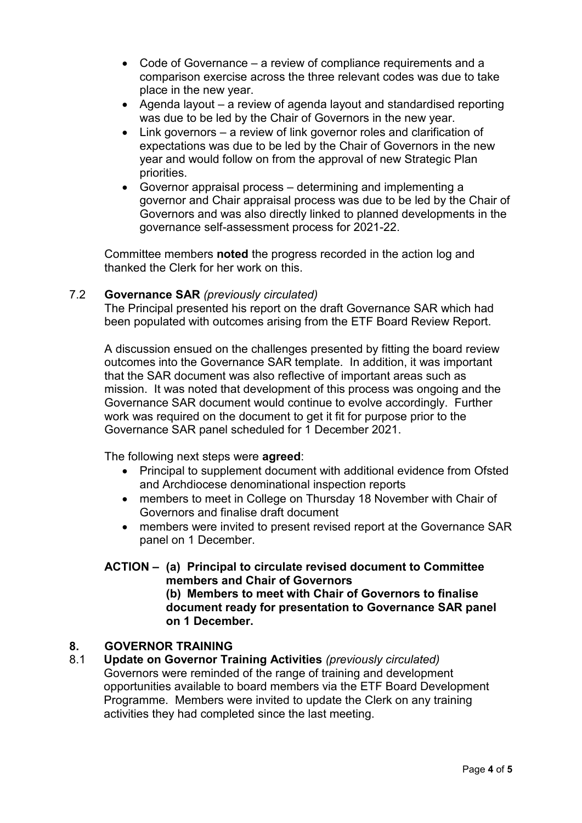- Code of Governance a review of compliance requirements and a comparison exercise across the three relevant codes was due to take place in the new year.
- Agenda layout a review of agenda layout and standardised reporting was due to be led by the Chair of Governors in the new year.
- Link governors a review of link governor roles and clarification of expectations was due to be led by the Chair of Governors in the new year and would follow on from the approval of new Strategic Plan priorities.
- Governor appraisal process determining and implementing a governor and Chair appraisal process was due to be led by the Chair of Governors and was also directly linked to planned developments in the governance self-assessment process for 2021-22.

Committee members **noted** the progress recorded in the action log and thanked the Clerk for her work on this.

#### 7.2 **Governance SAR** *(previously circulated)*

The Principal presented his report on the draft Governance SAR which had been populated with outcomes arising from the ETF Board Review Report.

A discussion ensued on the challenges presented by fitting the board review outcomes into the Governance SAR template. In addition, it was important that the SAR document was also reflective of important areas such as mission. It was noted that development of this process was ongoing and the Governance SAR document would continue to evolve accordingly. Further work was required on the document to get it fit for purpose prior to the Governance SAR panel scheduled for 1 December 2021.

The following next steps were **agreed**:

- Principal to supplement document with additional evidence from Ofsted and Archdiocese denominational inspection reports
- members to meet in College on Thursday 18 November with Chair of Governors and finalise draft document
- members were invited to present revised report at the Governance SAR panel on 1 December.

#### **ACTION – (a) Principal to circulate revised document to Committee members and Chair of Governors (b) Members to meet with Chair of Governors to finalise document ready for presentation to Governance SAR panel on 1 December.**

#### **8. GOVERNOR TRAINING**

8.1 **Update on Governor Training Activities** *(previously circulated)* Governors were reminded of the range of training and development opportunities available to board members via the ETF Board Development Programme. Members were invited to update the Clerk on any training activities they had completed since the last meeting.